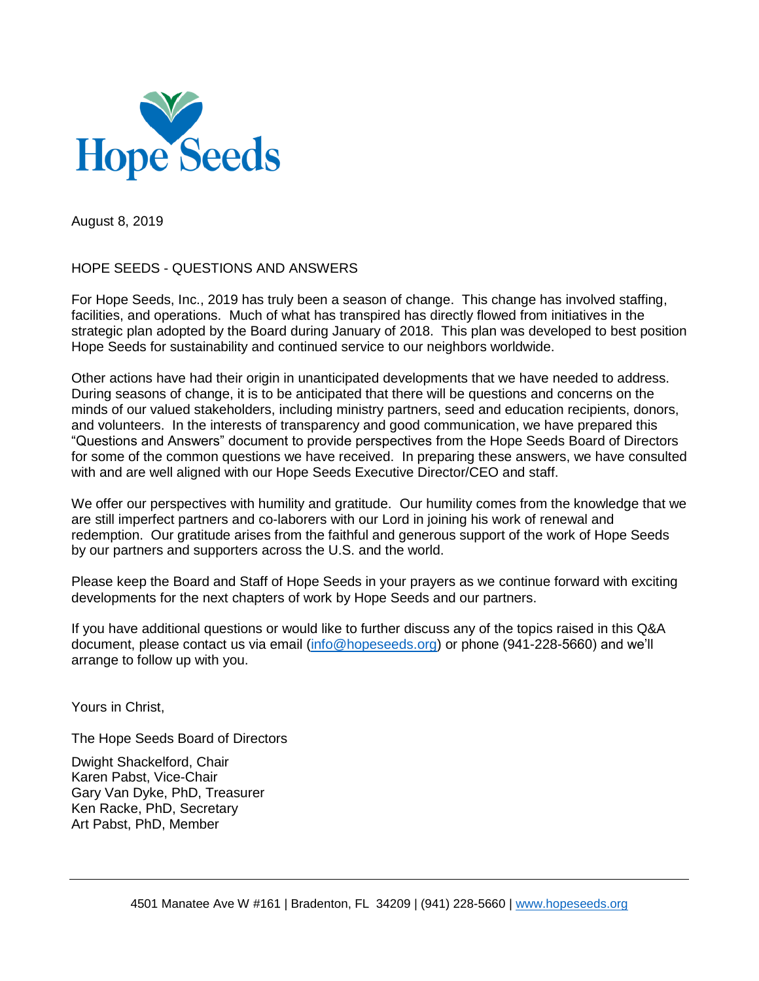

August 8, 2019

# HOPE SEEDS - QUESTIONS AND ANSWERS

For Hope Seeds, Inc., 2019 has truly been a season of change. This change has involved staffing, facilities, and operations. Much of what has transpired has directly flowed from initiatives in the strategic plan adopted by the Board during January of 2018. This plan was developed to best position Hope Seeds for sustainability and continued service to our neighbors worldwide.

Other actions have had their origin in unanticipated developments that we have needed to address. During seasons of change, it is to be anticipated that there will be questions and concerns on the minds of our valued stakeholders, including ministry partners, seed and education recipients, donors, and volunteers. In the interests of transparency and good communication, we have prepared this "Questions and Answers" document to provide perspectives from the Hope Seeds Board of Directors for some of the common questions we have received. In preparing these answers, we have consulted with and are well aligned with our Hope Seeds Executive Director/CEO and staff.

We offer our perspectives with humility and gratitude. Our humility comes from the knowledge that we are still imperfect partners and co-laborers with our Lord in joining his work of renewal and redemption. Our gratitude arises from the faithful and generous support of the work of Hope Seeds by our partners and supporters across the U.S. and the world.

Please keep the Board and Staff of Hope Seeds in your prayers as we continue forward with exciting developments for the next chapters of work by Hope Seeds and our partners.

If you have additional questions or would like to further discuss any of the topics raised in this Q&A document, please contact us via email [\(info@hopeseeds.org\)](mailto:info@hopeseeds.org) or phone (941-228-5660) and we'll arrange to follow up with you.

Yours in Christ,

The Hope Seeds Board of Directors

Dwight Shackelford, Chair Karen Pabst, Vice-Chair Gary Van Dyke, PhD, Treasurer Ken Racke, PhD, Secretary Art Pabst, PhD, Member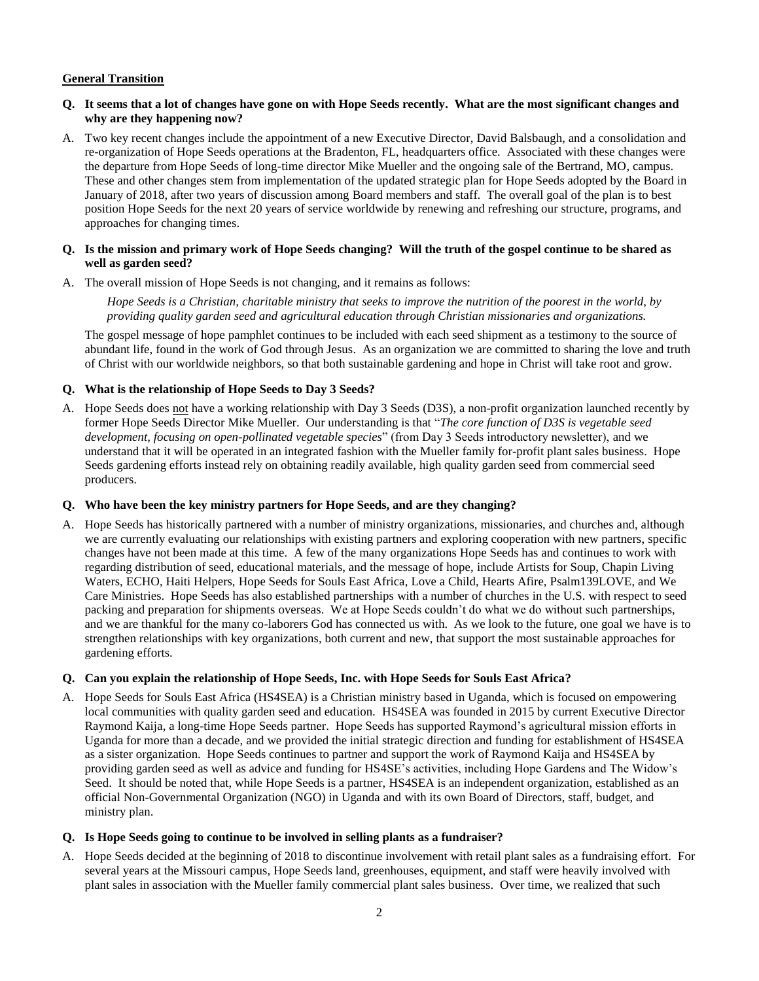# **General Transition**

#### **Q. It seems that a lot of changes have gone on with Hope Seeds recently. What are the most significant changes and why are they happening now?**

A. Two key recent changes include the appointment of a new Executive Director, David Balsbaugh, and a consolidation and re-organization of Hope Seeds operations at the Bradenton, FL, headquarters office. Associated with these changes were the departure from Hope Seeds of long-time director Mike Mueller and the ongoing sale of the Bertrand, MO, campus. These and other changes stem from implementation of the updated strategic plan for Hope Seeds adopted by the Board in January of 2018, after two years of discussion among Board members and staff. The overall goal of the plan is to best position Hope Seeds for the next 20 years of service worldwide by renewing and refreshing our structure, programs, and approaches for changing times.

## **Q. Is the mission and primary work of Hope Seeds changing? Will the truth of the gospel continue to be shared as well as garden seed?**

A. The overall mission of Hope Seeds is not changing, and it remains as follows:

*Hope Seeds is a Christian, charitable ministry that seeks to improve the nutrition of the poorest in the world, by providing quality garden seed and agricultural education through Christian missionaries and organizations.*

The gospel message of hope pamphlet continues to be included with each seed shipment as a testimony to the source of abundant life, found in the work of God through Jesus. As an organization we are committed to sharing the love and truth of Christ with our worldwide neighbors, so that both sustainable gardening and hope in Christ will take root and grow.

# **Q. What is the relationship of Hope Seeds to Day 3 Seeds?**

A. Hope Seeds does not have a working relationship with Day 3 Seeds (D3S), a non-profit organization launched recently by former Hope Seeds Director Mike Mueller. Our understanding is that "*The core function of D3S is vegetable seed development, focusing on open-pollinated vegetable species*" (from Day 3 Seeds introductory newsletter), and we understand that it will be operated in an integrated fashion with the Mueller family for-profit plant sales business. Hope Seeds gardening efforts instead rely on obtaining readily available, high quality garden seed from commercial seed producers.

#### **Q. Who have been the key ministry partners for Hope Seeds, and are they changing?**

A. Hope Seeds has historically partnered with a number of ministry organizations, missionaries, and churches and, although we are currently evaluating our relationships with existing partners and exploring cooperation with new partners, specific changes have not been made at this time. A few of the many organizations Hope Seeds has and continues to work with regarding distribution of seed, educational materials, and the message of hope, include Artists for Soup, Chapin Living Waters, ECHO, Haiti Helpers, Hope Seeds for Souls East Africa, Love a Child, Hearts Afire, Psalm139LOVE, and We Care Ministries. Hope Seeds has also established partnerships with a number of churches in the U.S. with respect to seed packing and preparation for shipments overseas. We at Hope Seeds couldn't do what we do without such partnerships, and we are thankful for the many co-laborers God has connected us with. As we look to the future, one goal we have is to strengthen relationships with key organizations, both current and new, that support the most sustainable approaches for gardening efforts.

# **Q. Can you explain the relationship of Hope Seeds, Inc. with Hope Seeds for Souls East Africa?**

A. Hope Seeds for Souls East Africa (HS4SEA) is a Christian ministry based in Uganda, which is focused on empowering local communities with quality garden seed and education. HS4SEA was founded in 2015 by current Executive Director Raymond Kaija, a long-time Hope Seeds partner. Hope Seeds has supported Raymond's agricultural mission efforts in Uganda for more than a decade, and we provided the initial strategic direction and funding for establishment of HS4SEA as a sister organization. Hope Seeds continues to partner and support the work of Raymond Kaija and HS4SEA by providing garden seed as well as advice and funding for HS4SE's activities, including Hope Gardens and The Widow's Seed. It should be noted that, while Hope Seeds is a partner, HS4SEA is an independent organization, established as an official Non-Governmental Organization (NGO) in Uganda and with its own Board of Directors, staff, budget, and ministry plan.

#### **Q. Is Hope Seeds going to continue to be involved in selling plants as a fundraiser?**

A. Hope Seeds decided at the beginning of 2018 to discontinue involvement with retail plant sales as a fundraising effort. For several years at the Missouri campus, Hope Seeds land, greenhouses, equipment, and staff were heavily involved with plant sales in association with the Mueller family commercial plant sales business. Over time, we realized that such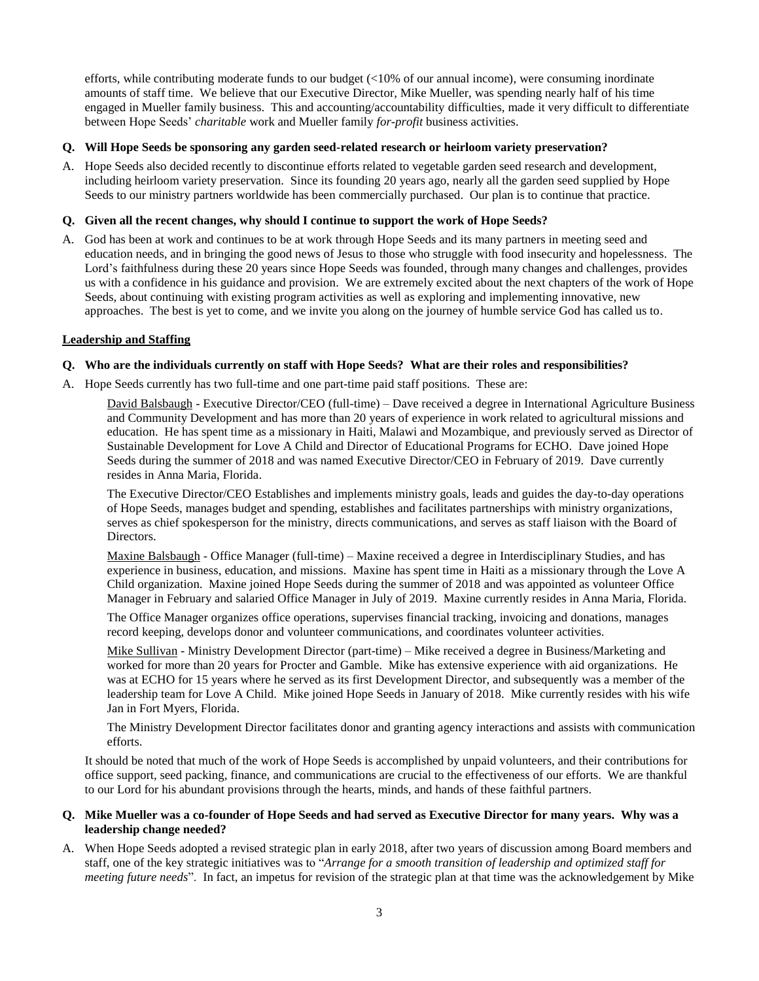efforts, while contributing moderate funds to our budget (<10% of our annual income), were consuming inordinate amounts of staff time. We believe that our Executive Director, Mike Mueller, was spending nearly half of his time engaged in Mueller family business. This and accounting/accountability difficulties, made it very difficult to differentiate between Hope Seeds' *charitable* work and Mueller family *for-profit* business activities.

## **Q. Will Hope Seeds be sponsoring any garden seed-related research or heirloom variety preservation?**

A. Hope Seeds also decided recently to discontinue efforts related to vegetable garden seed research and development, including heirloom variety preservation. Since its founding 20 years ago, nearly all the garden seed supplied by Hope Seeds to our ministry partners worldwide has been commercially purchased. Our plan is to continue that practice.

# **Q. Given all the recent changes, why should I continue to support the work of Hope Seeds?**

A. God has been at work and continues to be at work through Hope Seeds and its many partners in meeting seed and education needs, and in bringing the good news of Jesus to those who struggle with food insecurity and hopelessness. The Lord's faithfulness during these 20 years since Hope Seeds was founded, through many changes and challenges, provides us with a confidence in his guidance and provision. We are extremely excited about the next chapters of the work of Hope Seeds, about continuing with existing program activities as well as exploring and implementing innovative, new approaches. The best is yet to come, and we invite you along on the journey of humble service God has called us to.

# **Leadership and Staffing**

#### **Q. Who are the individuals currently on staff with Hope Seeds? What are their roles and responsibilities?**

A. Hope Seeds currently has two full-time and one part-time paid staff positions. These are:

David Balsbaugh - Executive Director/CEO (full-time) – Dave received a degree in International Agriculture Business and Community Development and has more than 20 years of experience in work related to agricultural missions and education. He has spent time as a missionary in Haiti, Malawi and Mozambique, and previously served as Director of Sustainable Development for Love A Child and Director of Educational Programs for ECHO. Dave joined Hope Seeds during the summer of 2018 and was named Executive Director/CEO in February of 2019. Dave currently resides in Anna Maria, Florida.

The Executive Director/CEO Establishes and implements ministry goals, leads and guides the day-to-day operations of Hope Seeds, manages budget and spending, establishes and facilitates partnerships with ministry organizations, serves as chief spokesperson for the ministry, directs communications, and serves as staff liaison with the Board of Directors.

Maxine Balsbaugh - Office Manager (full-time) – Maxine received a degree in Interdisciplinary Studies, and has experience in business, education, and missions. Maxine has spent time in Haiti as a missionary through the Love A Child organization. Maxine joined Hope Seeds during the summer of 2018 and was appointed as volunteer Office Manager in February and salaried Office Manager in July of 2019. Maxine currently resides in Anna Maria, Florida.

The Office Manager organizes office operations, supervises financial tracking, invoicing and donations, manages record keeping, develops donor and volunteer communications, and coordinates volunteer activities.

Mike Sullivan - Ministry Development Director (part-time) – Mike received a degree in Business/Marketing and worked for more than 20 years for Procter and Gamble. Mike has extensive experience with aid organizations. He was at ECHO for 15 years where he served as its first Development Director, and subsequently was a member of the leadership team for Love A Child. Mike joined Hope Seeds in January of 2018. Mike currently resides with his wife Jan in Fort Myers, Florida.

The Ministry Development Director facilitates donor and granting agency interactions and assists with communication efforts.

It should be noted that much of the work of Hope Seeds is accomplished by unpaid volunteers, and their contributions for office support, seed packing, finance, and communications are crucial to the effectiveness of our efforts. We are thankful to our Lord for his abundant provisions through the hearts, minds, and hands of these faithful partners.

# **Q. Mike Mueller was a co-founder of Hope Seeds and had served as Executive Director for many years. Why was a leadership change needed?**

A. When Hope Seeds adopted a revised strategic plan in early 2018, after two years of discussion among Board members and staff, one of the key strategic initiatives was to "*Arrange for a smooth transition of leadership and optimized staff for meeting future needs*". In fact, an impetus for revision of the strategic plan at that time was the acknowledgement by Mike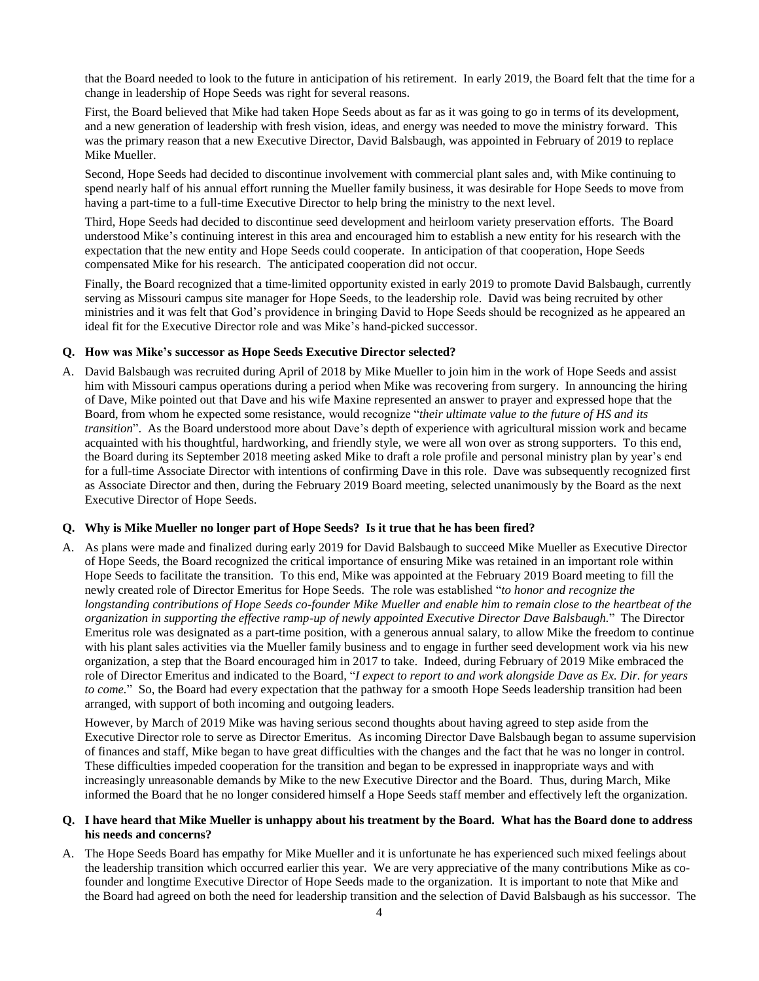that the Board needed to look to the future in anticipation of his retirement. In early 2019, the Board felt that the time for a change in leadership of Hope Seeds was right for several reasons.

First, the Board believed that Mike had taken Hope Seeds about as far as it was going to go in terms of its development, and a new generation of leadership with fresh vision, ideas, and energy was needed to move the ministry forward. This was the primary reason that a new Executive Director, David Balsbaugh, was appointed in February of 2019 to replace Mike Mueller.

Second, Hope Seeds had decided to discontinue involvement with commercial plant sales and, with Mike continuing to spend nearly half of his annual effort running the Mueller family business, it was desirable for Hope Seeds to move from having a part-time to a full-time Executive Director to help bring the ministry to the next level.

Third, Hope Seeds had decided to discontinue seed development and heirloom variety preservation efforts. The Board understood Mike's continuing interest in this area and encouraged him to establish a new entity for his research with the expectation that the new entity and Hope Seeds could cooperate. In anticipation of that cooperation, Hope Seeds compensated Mike for his research. The anticipated cooperation did not occur.

Finally, the Board recognized that a time-limited opportunity existed in early 2019 to promote David Balsbaugh, currently serving as Missouri campus site manager for Hope Seeds, to the leadership role. David was being recruited by other ministries and it was felt that God's providence in bringing David to Hope Seeds should be recognized as he appeared an ideal fit for the Executive Director role and was Mike's hand-picked successor.

#### **Q. How was Mike's successor as Hope Seeds Executive Director selected?**

A. David Balsbaugh was recruited during April of 2018 by Mike Mueller to join him in the work of Hope Seeds and assist him with Missouri campus operations during a period when Mike was recovering from surgery. In announcing the hiring of Dave, Mike pointed out that Dave and his wife Maxine represented an answer to prayer and expressed hope that the Board, from whom he expected some resistance, would recognize "*their ultimate value to the future of HS and its transition*". As the Board understood more about Dave's depth of experience with agricultural mission work and became acquainted with his thoughtful, hardworking, and friendly style, we were all won over as strong supporters. To this end, the Board during its September 2018 meeting asked Mike to draft a role profile and personal ministry plan by year's end for a full-time Associate Director with intentions of confirming Dave in this role. Dave was subsequently recognized first as Associate Director and then, during the February 2019 Board meeting, selected unanimously by the Board as the next Executive Director of Hope Seeds.

#### **Q. Why is Mike Mueller no longer part of Hope Seeds? Is it true that he has been fired?**

A. As plans were made and finalized during early 2019 for David Balsbaugh to succeed Mike Mueller as Executive Director of Hope Seeds, the Board recognized the critical importance of ensuring Mike was retained in an important role within Hope Seeds to facilitate the transition. To this end, Mike was appointed at the February 2019 Board meeting to fill the newly created role of Director Emeritus for Hope Seeds. The role was established "*to honor and recognize the longstanding contributions of Hope Seeds co-founder Mike Mueller and enable him to remain close to the heartbeat of the organization in supporting the effective ramp-up of newly appointed Executive Director Dave Balsbaugh.*" The Director Emeritus role was designated as a part-time position, with a generous annual salary, to allow Mike the freedom to continue with his plant sales activities via the Mueller family business and to engage in further seed development work via his new organization, a step that the Board encouraged him in 2017 to take. Indeed, during February of 2019 Mike embraced the role of Director Emeritus and indicated to the Board, "*I expect to report to and work alongside Dave as Ex. Dir. for years to come.*" So, the Board had every expectation that the pathway for a smooth Hope Seeds leadership transition had been arranged, with support of both incoming and outgoing leaders.

However, by March of 2019 Mike was having serious second thoughts about having agreed to step aside from the Executive Director role to serve as Director Emeritus. As incoming Director Dave Balsbaugh began to assume supervision of finances and staff, Mike began to have great difficulties with the changes and the fact that he was no longer in control. These difficulties impeded cooperation for the transition and began to be expressed in inappropriate ways and with increasingly unreasonable demands by Mike to the new Executive Director and the Board. Thus, during March, Mike informed the Board that he no longer considered himself a Hope Seeds staff member and effectively left the organization.

## **Q. I have heard that Mike Mueller is unhappy about his treatment by the Board. What has the Board done to address his needs and concerns?**

A. The Hope Seeds Board has empathy for Mike Mueller and it is unfortunate he has experienced such mixed feelings about the leadership transition which occurred earlier this year. We are very appreciative of the many contributions Mike as cofounder and longtime Executive Director of Hope Seeds made to the organization. It is important to note that Mike and the Board had agreed on both the need for leadership transition and the selection of David Balsbaugh as his successor. The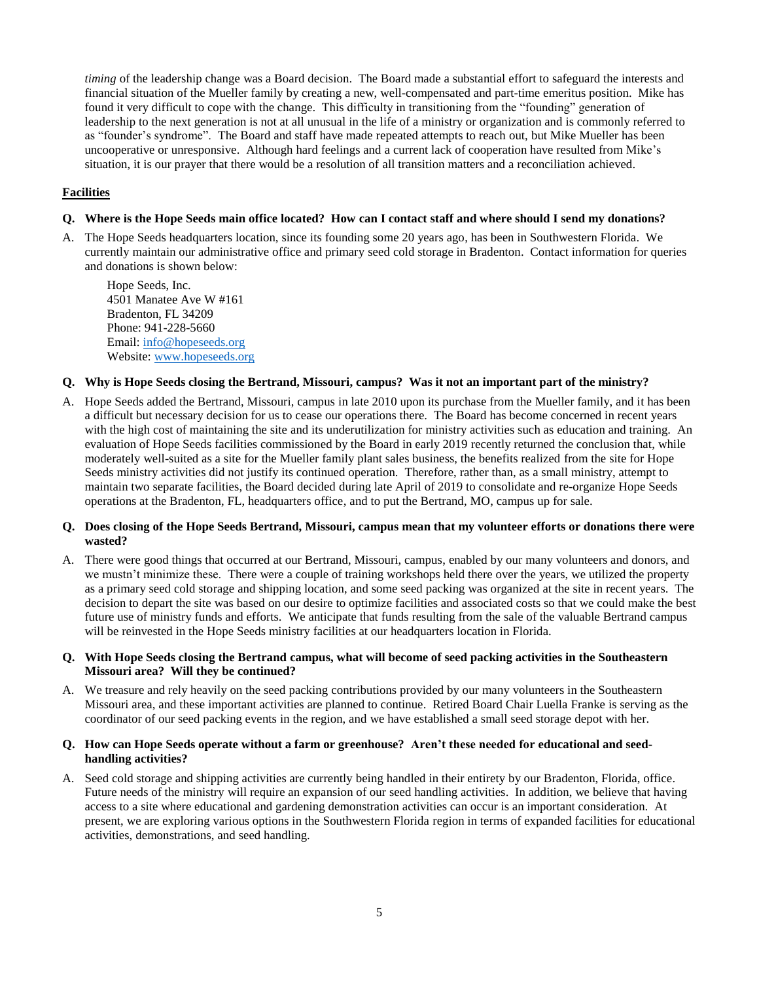*timing* of the leadership change was a Board decision. The Board made a substantial effort to safeguard the interests and financial situation of the Mueller family by creating a new, well-compensated and part-time emeritus position. Mike has found it very difficult to cope with the change. This difficulty in transitioning from the "founding" generation of leadership to the next generation is not at all unusual in the life of a ministry or organization and is commonly referred to as "founder's syndrome". The Board and staff have made repeated attempts to reach out, but Mike Mueller has been uncooperative or unresponsive. Although hard feelings and a current lack of cooperation have resulted from Mike's situation, it is our prayer that there would be a resolution of all transition matters and a reconciliation achieved.

# **Facilities**

# **Q. Where is the Hope Seeds main office located? How can I contact staff and where should I send my donations?**

A. The Hope Seeds headquarters location, since its founding some 20 years ago, has been in Southwestern Florida. We currently maintain our administrative office and primary seed cold storage in Bradenton. Contact information for queries and donations is shown below:

Hope Seeds, Inc. 4501 Manatee Ave W #161 Bradenton, FL 34209 Phone: 941-228-5660 Email: [info@hopeseeds.org](mailto:info@hopeseeds.org) Website: [www.hopeseeds.org](http://www.hopeseeds.org/)

#### **Q. Why is Hope Seeds closing the Bertrand, Missouri, campus? Was it not an important part of the ministry?**

A. Hope Seeds added the Bertrand, Missouri, campus in late 2010 upon its purchase from the Mueller family, and it has been a difficult but necessary decision for us to cease our operations there. The Board has become concerned in recent years with the high cost of maintaining the site and its underutilization for ministry activities such as education and training. An evaluation of Hope Seeds facilities commissioned by the Board in early 2019 recently returned the conclusion that, while moderately well-suited as a site for the Mueller family plant sales business, the benefits realized from the site for Hope Seeds ministry activities did not justify its continued operation. Therefore, rather than, as a small ministry, attempt to maintain two separate facilities, the Board decided during late April of 2019 to consolidate and re-organize Hope Seeds operations at the Bradenton, FL, headquarters office, and to put the Bertrand, MO, campus up for sale.

#### **Q. Does closing of the Hope Seeds Bertrand, Missouri, campus mean that my volunteer efforts or donations there were wasted?**

A. There were good things that occurred at our Bertrand, Missouri, campus, enabled by our many volunteers and donors, and we mustn't minimize these. There were a couple of training workshops held there over the years, we utilized the property as a primary seed cold storage and shipping location, and some seed packing was organized at the site in recent years. The decision to depart the site was based on our desire to optimize facilities and associated costs so that we could make the best future use of ministry funds and efforts. We anticipate that funds resulting from the sale of the valuable Bertrand campus will be reinvested in the Hope Seeds ministry facilities at our headquarters location in Florida.

#### **Q. With Hope Seeds closing the Bertrand campus, what will become of seed packing activities in the Southeastern Missouri area? Will they be continued?**

A. We treasure and rely heavily on the seed packing contributions provided by our many volunteers in the Southeastern Missouri area, and these important activities are planned to continue. Retired Board Chair Luella Franke is serving as the coordinator of our seed packing events in the region, and we have established a small seed storage depot with her.

#### **Q. How can Hope Seeds operate without a farm or greenhouse? Aren't these needed for educational and seedhandling activities?**

A. Seed cold storage and shipping activities are currently being handled in their entirety by our Bradenton, Florida, office. Future needs of the ministry will require an expansion of our seed handling activities. In addition, we believe that having access to a site where educational and gardening demonstration activities can occur is an important consideration. At present, we are exploring various options in the Southwestern Florida region in terms of expanded facilities for educational activities, demonstrations, and seed handling.